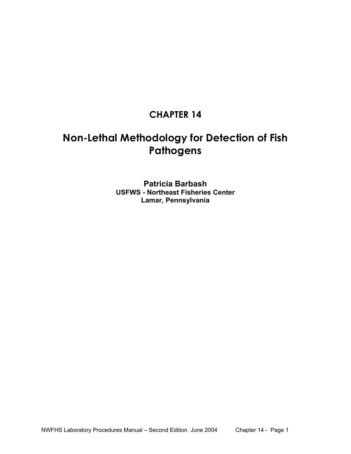# **CHAPTER 14**

# **Non-Lethal Methodology for Detection of Fish Pathogens**

**Patricia Barbash USFWS - Northeast Fisheries Center Lamar, Pennsylvania**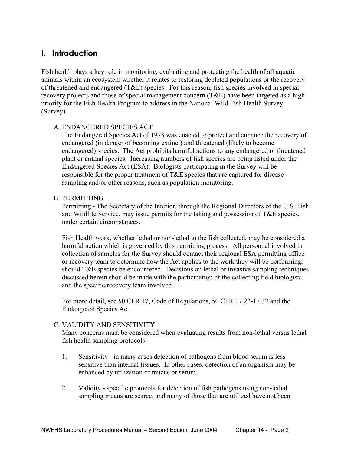## **I. Introduction**

Fish health plays a key role in monitoring, evaluating and protecting the health of all aquatic animals within an ecosystem whether it relates to restoring depleted populations or the recovery of threatened and endangered (T&E) species. For this reason, fish species involved in special recovery projects and those of special management concern (T&E) have been targeted as a high priority for the Fish Health Program to address in the National Wild Fish Health Survey (Survey).

#### A. ENDANGERED SPECIES ACT

 The Endangered Species Act of 1973 was enacted to protect and enhance the recovery of endangered (in danger of becoming extinct) and threatened (likely to become endangered) species. The Act prohibits harmful actions to any endangered or threatened plant or animal species. Increasing numbers of fish species are being listed under the Endangered Species Act (ESA). Biologists participating in the Survey will be responsible for the proper treatment of T&E species that are captured for disease sampling and/or other reasons, such as population monitoring.

#### B. PERMITTING

 Permitting - The Secretary of the Interior, through the Regional Directors of the U.S. Fish and Wildlife Service, may issue permits for the taking and possession of T&E species, under certain circumstances.

Fish Health work, whether lethal or non-lethal to the fish collected, may be considered a harmful action which is governed by this permitting process. All personnel involved in collection of samples for the Survey should contact their regional ESA permitting office or recovery team to determine how the Act applies to the work they will be performing, should T&E species be encountered. Decisions on lethal or invasive sampling techniques discussed herein should be made with the participation of the collecting field biologists and the specific recovery team involved.

For more detail, see 50 CFR 17, Code of Regulations, 50 CFR 17.22-17.32 and the Endangered Species Act.

#### C. VALIDITY AND SENSITIVITY

 Many concerns must be considered when evaluating results from non-lethal versus lethal fish health sampling protocols:

- 1. Sensitivity in many cases detection of pathogens from blood serum is less sensitive than internal tissues. In other cases, detection of an organism may be enhanced by utilization of mucus or serum.
- 2. Validity specific protocols for detection of fish pathogens using non-lethal sampling means are scarce, and many of those that are utilized have not been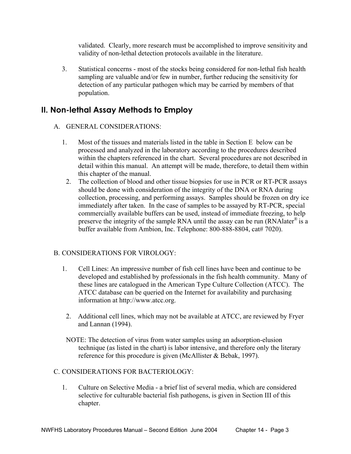validated. Clearly, more research must be accomplished to improve sensitivity and validity of non-lethal detection protocols available in the literature.

3. Statistical concerns - most of the stocks being considered for non-lethal fish health sampling are valuable and/or few in number, further reducing the sensitivity for detection of any particular pathogen which may be carried by members of that population.

# **II. Non-lethal Assay Methods to Employ**

#### A. GENERAL CONSIDERATIONS:

- 1. Most of the tissues and materials listed in the table in Section E below can be processed and analyzed in the laboratory according to the procedures described within the chapters referenced in the chart. Several procedures are not described in detail within this manual. An attempt will be made, therefore, to detail them within this chapter of the manual.
- 2. The collection of blood and other tissue biopsies for use in PCR or RT-PCR assays should be done with consideration of the integrity of the DNA or RNA during collection, processing, and performing assays. Samples should be frozen on dry ice immediately after taken. In the case of samples to be assayed by RT-PCR, special commercially available buffers can be used, instead of immediate freezing, to help preserve the integrity of the sample RNA until the assay can be run (RNA later<sup>®</sup> is a buffer available from Ambion, Inc. Telephone: 800-888-8804, cat# 7020).

### B. CONSIDERATIONS FOR VIROLOGY:

- 1. Cell Lines: An impressive number of fish cell lines have been and continue to be developed and established by professionals in the fish health community. Many of these lines are catalogued in the American Type Culture Collection (ATCC). The ATCC database can be queried on the Internet for availability and purchasing information at http://www.atcc.org.
- 2. Additional cell lines, which may not be available at ATCC, are reviewed by Fryer and Lannan (1994).
- NOTE: The detection of virus from water samples using an adsorption-elusion technique (as listed in the chart) is labor intensive, and therefore only the literary reference for this procedure is given (McAllister & Bebak, 1997).

### C. CONSIDERATIONS FOR BACTERIOLOGY:

1. Culture on Selective Media - a brief list of several media, which are considered selective for culturable bacterial fish pathogens, is given in Section III of this chapter.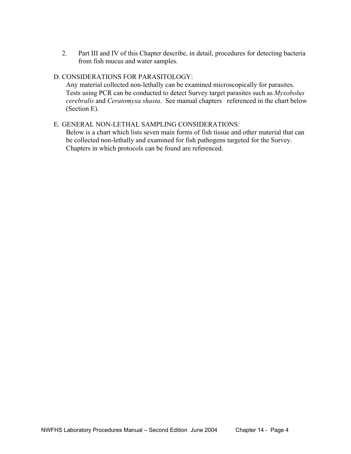2. Part III and IV of this Chapter describe, in detail, procedures for detecting bacteria from fish mucus and water samples.

#### D. CONSIDERATIONS FOR PARASITOLOGY:

 Any material collected non-lethally can be examined microscopically for parasites. Tests using PCR can be conducted to detect Survey target parasites such as *Myxobolus cerebralis* and *Ceratomyxa shasta*. See manual chapters referenced in the chart below (Section E).

#### E.GENERAL NON-LETHAL SAMPLING CONSIDERATIONS:

 Below is a chart which lists seven main forms of fish tissue and other material that can be collected non-lethally and examined for fish pathogens targeted for the Survey. Chapters in which protocols can be found are referenced.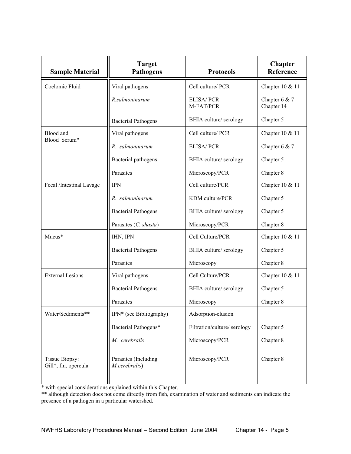| <b>Sample Material</b>                 | <b>Target</b><br><b>Pathogens</b>     | <b>Protocols</b>             | Chapter<br>Reference          |
|----------------------------------------|---------------------------------------|------------------------------|-------------------------------|
| Coelomic Fluid                         | Viral pathogens                       | Cell culture/ PCR            | Chapter 10 & 11               |
|                                        | R.salmoninarum                        | ELISA/PCR<br>M-FAT/PCR       | Chapter $6 & 7$<br>Chapter 14 |
|                                        | <b>Bacterial Pathogens</b>            | BHIA culture/ serology       | Chapter 5                     |
| Blood and                              | Viral pathogens                       | Cell culture/ PCR            | Chapter 10 & 11               |
| Blood Serum*                           | R. salmoninarum                       | ELISA/PCR                    | Chapter $6 & 7$               |
|                                        | Bacterial pathogens                   | BHIA culture/ serology       | Chapter 5                     |
|                                        | Parasites                             | Microscopy/PCR               | Chapter 8                     |
| Fecal /Intestinal Lavage               | <b>IPN</b>                            | Cell culture/PCR             | Chapter 10 & 11               |
|                                        | R. salmoninarum                       | KDM culture/PCR              | Chapter 5                     |
|                                        | <b>Bacterial Pathogens</b>            | BHIA culture/ serology       | Chapter 5                     |
|                                        | Parasites (C. shasta)                 | Microscopy/PCR               | Chapter 8                     |
| Mucus*                                 | IHN, IPN                              | Cell Culture/PCR             | Chapter 10 & 11               |
|                                        | <b>Bacterial Pathogens</b>            | BHIA culture/ serology       | Chapter 5                     |
|                                        | Parasites                             | Microscopy                   | Chapter 8                     |
| <b>External Lesions</b>                | Viral pathogens                       | Cell Culture/PCR             | Chapter 10 & 11               |
|                                        | <b>Bacterial Pathogens</b>            | BHIA culture/ serology       | Chapter 5                     |
|                                        | Parasites                             | Microscopy                   | Chapter 8                     |
| Water/Sediments**                      | IPN* (see Bibliography)               | Adsorption-elusion           |                               |
|                                        | Bacterial Pathogens*                  | Filtration/culture/ serology | Chapter 5                     |
|                                        | M. cerebralis                         | Microscopy/PCR               | Chapter 8                     |
| Tissue Biopsy:<br>Gill*, fin, opercula | Parasites (Including<br>M.cerebralis) | Microscopy/PCR               | Chapter 8                     |

\* with special considerations explained within this Chapter.

\*\* although detection does not come directly from fish, examination of water and sediments can indicate the presence of a pathogen in a particular watershed.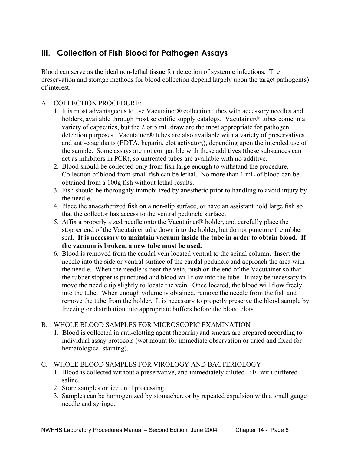# **III. Collection of Fish Blood for Pathogen Assays**

Blood can serve as the ideal non-lethal tissue for detection of systemic infections. The preservation and storage methods for blood collection depend largely upon the target pathogen(s) of interest.

### A. COLLECTION PROCEDURE:

- 1. It is most advantageous to use Vacutainer® collection tubes with accessory needles and holders, available through most scientific supply catalogs. Vacutainer® tubes come in a variety of capacities, but the 2 or 5 mL draw are the most appropriate for pathogen detection purposes. Vacutainer® tubes are also available with a variety of preservatives and anti-coagulants (EDTA, heparin, clot activator,), depending upon the intended use of the sample. Some assays are not compatible with these additives (these substances can act as inhibitors in PCR), so untreated tubes are available with no additive.
- 2. Blood should be collected only from fish large enough to withstand the procedure. Collection of blood from small fish can be lethal. No more than 1 mL of blood can be obtained from a 100g fish without lethal results.
- 3. Fish should be thoroughly immobilized by anesthetic prior to handling to avoid injury by the needle.
- 4. Place the anaesthetized fish on a non slip surface, or have an assistant hold large fish so that the collector has access to the ventral peduncle surface.
- 5. Affix a properly sized needle onto the Vacutainer® holder, and carefully place the stopper end of the Vacutainer tube down into the holder, but do not puncture the rubber seal. **It is necessary to maintain vacuum inside the tube in order to obtain blood. If the vacuum is broken, a new tube must be used.**
- 6. Blood is removed from the caudal vein located ventral to the spinal column. Insert the needle into the side or ventral surface of the caudal peduncle and approach the area with the needle. When the needle is near the vein, push on the end of the Vacutainer so that the rubber stopper is punctured and blood will flow into the tube. It may be necessary to move the needle tip slightly to locate the vein. Once located, the blood will flow freely into the tube. When enough volume is obtained, remove the needle from the fish and remove the tube from the holder. It is necessary to properly preserve the blood sample by freezing or distribution into appropriate buffers before the blood clots.

#### B. WHOLE BLOOD SAMPLES FOR MICROSCOPIC EXAMINATION

- 1. Blood is collected in anti-clotting agent (heparin) and smears are prepared according to individual assay protocols (wet mount for immediate observation or dried and fixed for hematological staining).
- C. WHOLE BLOOD SAMPLES FOR VIROLOGY AND BACTERIOLOGY
	- 1. Blood is collected without a preservative, and immediately diluted 1:10 with buffered saline.
	- 2. Store samples on ice until processing.
	- 3. Samples can be homogenized by stomacher, or by repeated expulsion with a small gauge needle and syringe.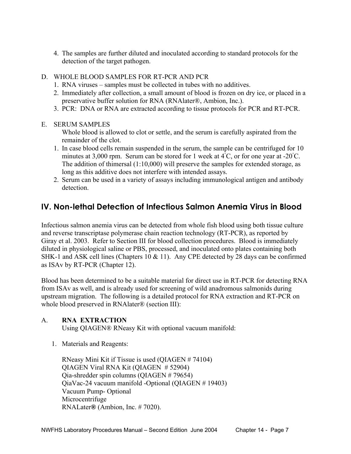- 4. The samples are further diluted and inoculated according to standard protocols for the detection of the target pathogen.
- D. WHOLE BLOOD SAMPLES FOR RT-PCR AND PCR
	- 1. RNA viruses samples must be collected in tubes with no additives.
	- 2. Immediately after collection, a small amount of blood is frozen on dry ice, or placed in a preservative buffer solution for RNA (RNAlater®, Ambion, Inc.).
	- 3. PCR: DNA or RNA are extracted according to tissue protocols for PCR and RT-PCR.
- E. SERUM SAMPLES

 Whole blood is allowed to clot or settle, and the serum is carefully aspirated from the remainder of the clot.

- 1. In case blood cells remain suspended in the serum, the sample can be centrifuged for 10 minutes at 3,000 rpm. Serum can be stored for 1 week at  $4^{\circ}$ C, or for one year at -20 $^{\circ}$ C. The addition of thimersal (1:10,000) will preserve the samples for extended storage, as long as this additive does not interfere with intended assays.
- 2. Serum can be used in a variety of assays including immunological antigen and antibody detection.

# **IV. Non-lethal Detection of Infectious Salmon Anemia Virus in Blood**

Infectious salmon anemia virus can be detected from whole fish blood using both tissue culture and reverse transcriptase polymerase chain reaction technology (RT-PCR), as reported by Giray et al. 2003. Refer to Section III for blood collection procedures. Blood is immediately diluted in physiological saline or PBS, processed, and inoculated onto plates containing both SHK-1 and ASK cell lines (Chapters 10 & 11). Any CPE detected by 28 days can be confirmed as ISAv by RT-PCR (Chapter 12).

Blood has been determined to be a suitable material for direct use in RT-PCR for detecting RNA from ISAv as well, and is already used for screening of wild anadromous salmonids during upstream migration. The following is a detailed protocol for RNA extraction and RT-PCR on whole blood preserved in RNAlater® (section III):

### A. **RNA EXTRACTION**

Using QIAGEN® RNeasy Kit with optional vacuum manifold:

1. Materials and Reagents:

 RNeasy Mini Kit if Tissue is used (QIAGEN # 74104) QIAGEN Viral RNA Kit (QIAGEN # 52904) Qia-shredder spin columns (QIAGEN # 79654) QiaVac-24 vacuum manifold -Optional (QIAGEN # 19403) Vacuum Pump- Optional Microcentrifuge RNALater**®** (Ambion, Inc. # 7020).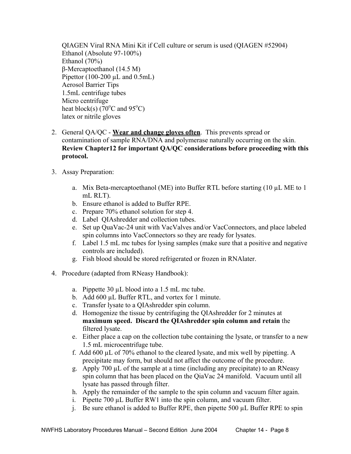QIAGEN Viral RNA Mini Kit if Cell culture or serum is used (QIAGEN #52904) Ethanol (Absolute 97-100%) Ethanol (70%) β-Mercaptoethanol (14.5 M) Pipettor  $(100-200 \mu L \text{ and } 0.5 \text{mL})$ Aerosol Barrier Tips 1.5mL centrifuge tubes Micro centrifuge heat block(s)  $(70^{\circ}$ C and 95<sup>°</sup>C) latex or nitrile gloves

- 2. General QA/QC **Wear and change gloves often**. This prevents spread or contamination of sample RNA/DNA and polymerase naturally occurring on the skin. **Review Chapter12 for important QA/QC considerations before proceeding with this protocol.**
- 3. Assay Preparation:
	- a. Mix Beta-mercaptoethanol (ME) into Buffer RTL before starting (10 µL ME to 1 mL RLT).
	- b. Ensure ethanol is added to Buffer RPE.
	- c. Prepare 70% ethanol solution for step 4.
	- d. Label QIAshredder and collection tubes.
	- e. Set up QuaVac-24 unit with VacValves and/or VacConnectors, and place labeled spin columns into VacConnectors so they are ready for lysates.
	- f. Label 1.5 mL mc tubes for lysing samples (make sure that a positive and negative controls are included).
	- g. Fish blood should be stored refrigerated or frozen in RNAlater.
- 4. Procedure (adapted from RNeasy Handbook):
	- a. Pippette 30 µL blood into a 1.5 mL mc tube.
	- b. Add 600 µL Buffer RTL, and vortex for 1 minute.
	- c. Transfer lysate to a QIAshredder spin column.
	- d. Homogenize the tissue by centrifuging the QIAshredder for 2 minutes at **maximum speed. Discard the QIAshredder spin column and retain** the filtered lysate.
	- e. Either place a cap on the collection tube containing the lysate, or transfer to a new 1.5 mL microcentrifuge tube.
	- f. Add 600 µL of 70% ethanol to the cleared lysate, and mix well by pipetting. A precipitate may form, but should not affect the outcome of the procedure.
	- g. Apply 700  $\mu$ L of the sample at a time (including any precipitate) to an RNeasy spin column that has been placed on the QiaVac 24 manifold. Vacuum until all lysate has passed through filter.
	- h. Apply the remainder of the sample to the spin column and vacuum filter again.
	- i. Pipette 700 µL Buffer RW1 into the spin column, and vacuum filter.
	- j. Be sure ethanol is added to Buffer RPE, then pipette 500 µL Buffer RPE to spin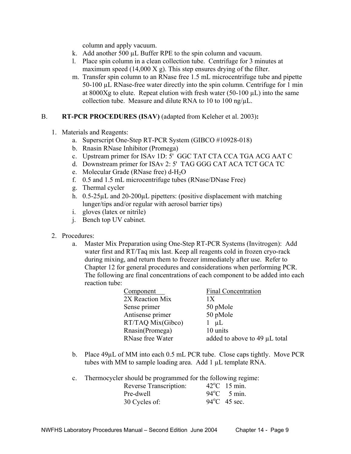column and apply vacuum.

- k. Add another 500 µL Buffer RPE to the spin column and vacuum.
- l. Place spin column in a clean collection tube. Centrifuge for 3 minutes at maximum speed (14,000 X g). This step ensures drying of the filter.
- m. Transfer spin column to an RNase free 1.5 mL microcentrifuge tube and pipette 50-100 µL RNase-free water directly into the spin column. Centrifuge for 1 min at 8000Xg to elute. Repeat elution with fresh water  $(50-100 \mu L)$  into the same collection tube. Measure and dilute RNA to 10 to 100 ng/ $\mu$ L.

#### B. **RT-PCR PROCEDURES (ISAV)** (adapted from Keleher et al. 2003)**:**

- 1. Materials and Reagents:
	- a. Superscript One-Step RT-PCR System (GIBCO #10928-018)
	- b. Rnasin RNase Inhibitor (Promega)
	- c. Upstream primer for ISAv 1D: 5' GGC TAT CTA CCA TGA ACG AAT C
	- d. Downstream primer for ISAv 2: 5' TAG GGG CAT ACA TCT GCA TC
	- e. Molecular Grade (RNase free) d-H<sub>2</sub>O
	- f. 0.5 and 1.5 mL microcentrifuge tubes (RNase/DNase Free)
	- g. Thermal cycler
	- h.  $0.5-25\mu L$  and  $20-200\mu L$  pipetters: (positive displacement with matching lunger/tips and/or regular with aerosol barrier tips)
	- i. gloves (latex or nitrile)
	- j. Bench top UV cabinet.
- 2. Procedures:
	- a. Master Mix Preparation using One-Step RT-PCR Systems (Invitrogen): Add water first and RT/Taq mix last. Keep all reagents cold in frozen cryo-rack during mixing, and return them to freezer immediately after use. Refer to Chapter 12 for general procedures and considerations when performing PCR. The following are final concentrations of each component to be added into each reaction tube:

| Component         | <b>Final Concentration</b>    |
|-------------------|-------------------------------|
| 2X Reaction Mix   | 1Х                            |
| Sense primer      | 50 pMole                      |
| Antisense primer  | 50 pMole                      |
| RT/TAQ Mix(Gibco) | $\mu L$<br>$\Gamma$           |
| Rnasin(Promega)   | 10 units                      |
| RNase free Water  | added to above to 49 µL total |

b. Place 49µL of MM into each 0.5 mL PCR tube. Close caps tightly. Move PCR tubes with MM to sample loading area. Add 1 µL template RNA.

c. Thermocycler should be programmed for the following regime:

| Reverse Transcription: | $42^{\circ}$ C 15 min. |
|------------------------|------------------------|
| Pre-dwell              | $94^{\circ}$ C 5 min.  |
| 30 Cycles of:          | $94^{\circ}$ C 45 sec. |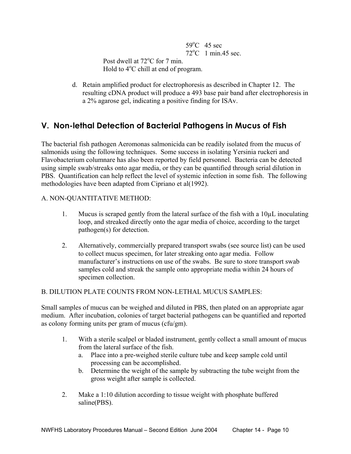$59^\circ$  $59^{\circ}$ C 45 sec 72o  $72^{\circ}$ C 1 min 45 sec. Post dwell at 72<sup>o</sup>C for 7 min. Hold to  $4^{\circ}$ C chill at end of program.

> d. Retain amplified product for electrophoresis as described in Chapter 12. The resulting cDNA product will produce a 493 base pair band after electrophoresis in a 2% agarose gel, indicating a positive finding for ISAv.

# **V. Non-lethal Detection of Bacterial Pathogens in Mucus of Fish**

The bacterial fish pathogen Aeromonas salmonicida can be readily isolated from the mucus of salmonids using the following techniques. Some success in isolating Yersinia ruckeri and Flavobacterium columnare has also been reported by field personnel. Bacteria can be detected using simple swab/streaks onto agar media, or they can be quantified through serial dilution in PBS. Quantification can help reflect the level of systemic infection in some fish. The following methodologies have been adapted from Cipriano et al(1992).

#### A. NON-QUANTITATIVE METHOD:

- 1. Mucus is scraped gently from the lateral surface of the fish with a 10µL inoculating loop, and streaked directly onto the agar media of choice, according to the target pathogen(s) for detection.
- 2. Alternatively, commercially prepared transport swabs (see source list) can be used to collect mucus specimen, for later streaking onto agar media. Follow manufacturer's instructions on use of the swabs. Be sure to store transport swab samples cold and streak the sample onto appropriate media within 24 hours of specimen collection.

B. DILUTION PLATE COUNTS FROM NON-LETHAL MUCUS SAMPLES:

Small samples of mucus can be weighed and diluted in PBS, then plated on an appropriate agar medium. After incubation, colonies of target bacterial pathogens can be quantified and reported as colony forming units per gram of mucus (cfu/gm).

- 1. With a sterile scalpel or bladed instrument, gently collect a small amount of mucus from the lateral surface of the fish.
	- a. Place into a pre-weighed sterile culture tube and keep sample cold until processing can be accomplished.
	- b. Determine the weight of the sample by subtracting the tube weight from the gross weight after sample is collected.
- 2. Make a 1:10 dilution according to tissue weight with phosphate buffered saline(PBS).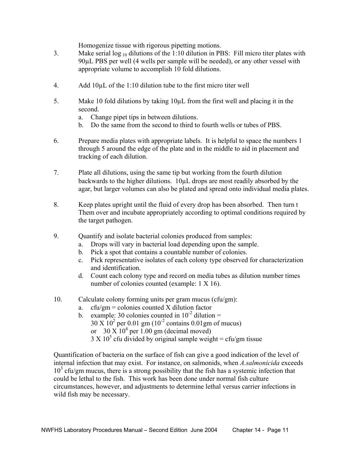Homogenize tissue with rigorous pipetting motions.

- 3. Make serial  $\log_{10}$  dilutions of the 1:10 dilution in PBS: Fill micro titer plates with 90µL PBS per well (4 wells per sample will be needed), or any other vessel with appropriate volume to accomplish 10 fold dilutions.
- 4. Add 10µL of the 1:10 dilution tube to the first micro titer well
- 5. Make 10 fold dilutions by taking 10µL from the first well and placing it in the second.
	- a. Change pipet tips in between dilutions.
	- b. Do the same from the second to third to fourth wells or tubes of PBS.
- 6. Prepare media plates with appropriate labels. It is helpful to space the numbers 1 through 5 around the edge of the plate and in the middle to aid in placement and tracking of each dilution.
- 7. Plate all dilutions, using the same tip but working from the fourth dilution backwards to the higher dilutions. 10µL drops are most readily absorbed by the agar, but larger volumes can also be plated and spread onto individual media plates.
- 8. Keep plates upright until the fluid of every drop has been absorbed. Then turn t Them over and incubate appropriately according to optimal conditions required by the target pathogen.
- 9. Quantify and isolate bacterial colonies produced from samples:
	- a. Drops will vary in bacterial load depending upon the sample.
	- b. Pick a spot that contains a countable number of colonies.
	- c. Pick representative isolates of each colony type observed for characterization and identification.
	- d. Count each colony type and record on media tubes as dilution number times number of colonies counted (example: 1 X 16).
- 10. Calculate colony forming units per gram mucus (cfu/gm):
	- a.  $cfu/gm =$  colonies counted X dilution factor
	- b. example: 30 colonies counted in  $10^{-2}$  dilution =  $30 \text{ X } 10^2 \text{ per } 0.01 \text{ gm } (10^{-2} \text{ contains } 0.01 \text{ gm of mucus})$ or  $30 \text{ X} 10^4$  per 1.00 gm (decimal moved)  $3 \text{ X } 10^5$  cfu divided by original sample weight = cfu/gm tissue

Quantification of bacteria on the surface of fish can give a good indication of the level of internal infection that may exist. For instance, on salmonids, when *A.salmonicida* exceeds 10<sup>3</sup> cfu/gm mucus, there is a strong possibility that the fish has a systemic infection that could be lethal to the fish. This work has been done under normal fish culture circumstances, however, and adjustments to determine lethal versus carrier infections in wild fish may be necessary.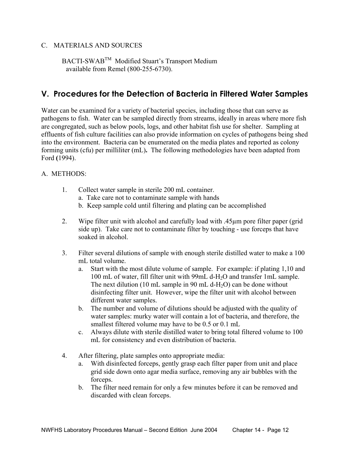#### C. MATERIALS AND SOURCES

BACTI-SWAB<sup>TM</sup> Modified Stuart's Transport Medium available from Remel (800-255-6730).

# **V. Procedures for the Detection of Bacteria in Filtered Water Samples**

Water can be examined for a variety of bacterial species, including those that can serve as pathogens to fish. Water can be sampled directly from streams, ideally in areas where more fish are congregated, such as below pools, logs, and other habitat fish use for shelter. Sampling at effluents of fish culture facilities can also provide information on cycles of pathogens being shed into the environment.Bacteria can be enumerated on the media plates and reported as colony forming units (cfu) per milliliter (mL)**.** The following methodologies have been adapted from Ford **(**1994).

#### A. METHODS:

- 1. Collect water sample in sterile 200 mL container.
	- a. Take care not to contaminate sample with hands
	- b. Keep sample cold until filtering and plating can be accomplished
- 2. Wipe filter unit with alcohol and carefully load with .45µm pore filter paper (grid side up). Take care not to contaminate filter by touching - use forceps that have soaked in alcohol.
- 3. Filter several dilutions of sample with enough sterile distilled water to make a 100 mL total volume.
	- a. Start with the most dilute volume of sample. For example: if plating 1,10 and 100 mL of water, fill filter unit with 99mL d-H2O and transfer 1mL sample. The next dilution (10 mL sample in 90 mL d-H<sub>2</sub>O) can be done without disinfecting filter unit. However, wipe the filter unit with alcohol between different water samples.
	- b. The number and volume of dilutions should be adjusted with the quality of water samples: murky water will contain a lot of bacteria, and therefore, the smallest filtered volume may have to be 0.5 or 0.1 mL
	- c. Always dilute with sterile distilled water to bring total filtered volume to 100 mL for consistency and even distribution of bacteria.
- 4. After filtering, plate samples onto appropriate media:
	- a. With disinfected forceps, gently grasp each filter paper from unit and place grid side down onto agar media surface, removing any air bubbles with the forceps.
	- b. The filter need remain for only a few minutes before it can be removed and discarded with clean forceps.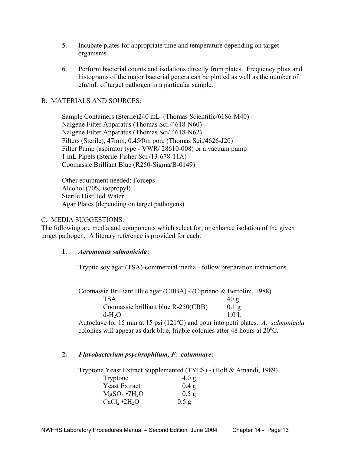- 5. Incubate plates for appropriate time and temperature depending on target organisms.
- 6. Perform bacterial counts and isolations directly from plates. Frequency plots and histograms of the major bacterial genera can be plotted as well as the number of cfu/mL of target pathogen in a particular sample.

#### B. MATERIALS AND SOURCES:

 Sample Containers (Sterile)240 mL (Thomas Scientific/6186-M40) Nalgene Filter Apparatus (Thomas Sci./4618-N60) Nalgene Filter Apparatus (Thomas Sci/ 4618-N62) Filters (Sterile), 47mm, 0.45Φm pore (Thomas Sci./4626-J20) Filter Pump (aspirator type - VWR/ 28610-008) or a vacuum pump 1 mL Pipets (Sterile-Fisher Sci./13-678-11A) Coomassie Brilliant Blue (R250-Sigma/B-0149)

 Other equipment needed: Forceps Alcohol (70% isopropyl) Sterile Distilled Water Agar Plates (depending on target pathogens)

#### C. MEDIA SUGGESTIONS:

The following are media and components which select for, or enhance isolation of the given target pathogen. A literary reference is provided for each.

#### **1.** *Aeromonas salmonicida***:**

Tryptic soy agar (TSA)-commercial media - follow preparation instructions.

Coomassie Brilliant Blue agar (CBBA) - (Cipriano & Bertolini, 1988).

| <b>TSA</b>                          | 40 g              |
|-------------------------------------|-------------------|
| Coomassie brilliant blue R-250(CBB) | $0.1\,\mathrm{g}$ |
| $d-H2O$                             | 10L               |

Autoclave for 15 min at 15 psi (121<sup>o</sup>C) and pour into petri plates. A. salmonicida colonies will appear as dark blue, friable colonies after 48 hours at 20°C.

#### **2.** *Flavobacterium psychrophilum, F. columnare:*

Tryptone Yeast Extract Supplemented (TYES) - (Holt & Amandi, 1989)

| Tryptone               | 4.0 g   |
|------------------------|---------|
| <b>Yeast Extract</b>   | 0.4 g   |
| $MgSO_4 \bullet 7H_2O$ | $0.5$ g |
| $CaCl2 \cdot 2H2O$     | $0.5$ g |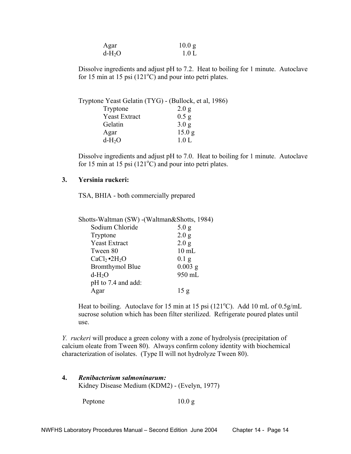| Agar    | 10.0 <sub>g</sub> |
|---------|-------------------|
| $d-H2O$ | 1.0 L             |

Dissolve ingredients and adjust pH to 7.2. Heat to boiling for 1 minute. Autoclave for 15 min at 15 psi  $(121^{\circ}$ C) and pour into petri plates.

|                      | Tryptone Yeast Gelatin (TYG) - (Bullock, et al, 1986) |
|----------------------|-------------------------------------------------------|
| Tryptone             | 2.0 g                                                 |
| <b>Yeast Extract</b> | $0.5$ g                                               |
| Gelatin              | 3.0 g                                                 |
| Agar                 | 15.0 g                                                |
| $d-H2O$              | 1.0 L                                                 |
|                      |                                                       |

Dissolve ingredients and adjust pH to 7.0. Heat to boiling for 1 minute. Autoclave for 15 min at 15 psi  $(121^{\circ}$ C) and pour into petri plates.

#### **3. Yersinia ruckeri:**

TSA, BHIA - both commercially prepared

| Shotts-Waltman (SW) - (Waltman&Shotts, 1984) |           |
|----------------------------------------------|-----------|
| Sodium Chloride                              | 5.0 g     |
| Tryptone                                     | 2.0 g     |
| <b>Yeast Extract</b>                         | 2.0 g     |
| Tween 80                                     | $10$ mL   |
| $CaCl2 \cdot 2H2O$                           | $0.1$ g   |
| <b>Bromthymol Blue</b>                       | $0.003$ g |
| $d-H_2O$                                     | 950 mL    |
| pH to 7.4 and add:                           |           |
| Agar                                         | 15 g      |

Heat to boiling. Autoclave for 15 min at 15 psi ( $121^{\circ}$ C). Add 10 mL of 0.5g/mL sucrose solution which has been filter sterilized. Refrigerate poured plates until use.

*Y. ruckeri* will produce a green colony with a zone of hydrolysis (precipitation of calcium oleate from Tween 80). Always confirm colony identity with biochemical characterization of isolates. (Type II will not hydrolyze Tween 80).

| Renibacterium salmoninarum:                   |
|-----------------------------------------------|
| Kidney Disease Medium (KDM2) - (Evelyn, 1977) |

Peptone 10.0 g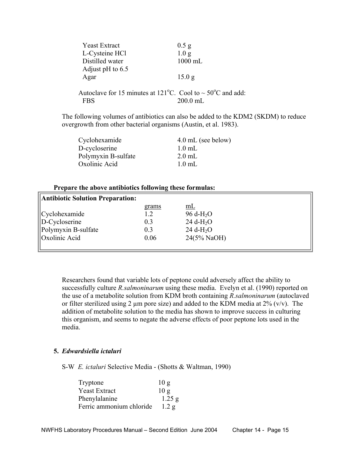| <b>Yeast Extract</b>                                                                      | $0.5$ g           |
|-------------------------------------------------------------------------------------------|-------------------|
| L-Cysteine HCl                                                                            | 1.0 <sub>g</sub>  |
| Distilled water                                                                           | $1000$ mL         |
| Adjust pH to $6.5$                                                                        |                   |
| Agar                                                                                      | 15.0 <sub>g</sub> |
|                                                                                           |                   |
| Autoclave for 15 minutes at 121 <sup>o</sup> C. Cool to $\sim$ 50 <sup>o</sup> C and add: |                   |
| FBS                                                                                       | $200.0$ mL        |

The following volumes of antibiotics can also be added to the KDM2 (SKDM) to reduce overgrowth from other bacterial organisms (Austin, et al. 1983).

| Cyclohexamide       | 4.0 mL (see below) |
|---------------------|--------------------|
| D-cycloserine       | $1.0$ mL           |
| Polymyxin B-sulfate | $2.0$ mL           |
| Oxolinic Acid       | $1.0$ mL           |
|                     |                    |

#### **Prepare the above antibiotics following these formulas:**

| Antibiotic Solution Preparation: |       |                            |  |
|----------------------------------|-------|----------------------------|--|
|                                  | grams | mL                         |  |
| Cyclohexamide                    | 1.2   | $96 d-H2O$                 |  |
| $\ $ D-Cycloserine               | 0.3   | $24 \text{ d-H}_2\text{O}$ |  |
| Polymyxin B-sulfate              | 0.3   | $24 \text{ d-H}_2\text{O}$ |  |
| Oxolinic Acid                    | 0.06  | $24(5\% \text{ NaOH})$     |  |
|                                  |       |                            |  |

Researchers found that variable lots of peptone could adversely affect the ability to successfully culture *R.salmoninarum* using these media. Evelyn et al. (1990) reported on the use of a metabolite solution from KDM broth containing *R.salmoninarum* (autoclaved or filter sterilized using 2  $\mu$ m pore size) and added to the KDM media at 2% (v/v). The addition of metabolite solution to the media has shown to improve success in culturing this organism, and seems to negate the adverse effects of poor peptone lots used in the media.

#### **5.** *Edwardsiella ictaluri*

S-W *E. ictaluri* Selective Media - (Shotts & Waltman, 1990)

| Tryptone                 | 10g      |
|--------------------------|----------|
| <b>Yeast Extract</b>     | 10g      |
| Phenylalanine            | $1.25$ g |
| Ferric ammonium chloride | 1.2 g    |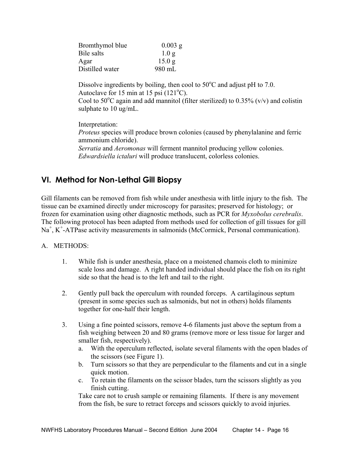| $0.003$ g         |
|-------------------|
| 1.0 <sub>g</sub>  |
| 15.0 <sub>g</sub> |
| 980 mL            |
|                   |

Dissolve ingredients by boiling, then cool to  $50^{\circ}$ C and adjust pH to 7.0. Autoclave for 15 min at 15 psi  $(121^{\circ}C)$ . Cool to 50°C again and add mannitol (filter sterilized) to 0.35% ( $v/v$ ) and colistin sulphate to 10 ug/mL.

 Interpretation: *Proteus* species will produce brown colonies (caused by phenylalanine and ferric ammonium chloride). *Serratia* and *Aeromonas* will ferment mannitol producing yellow colonies. *Edwardsiella ictaluri* will produce translucent, colorless colonies.

# **VI. Method for Non-Lethal Gill Biopsy**

Gill filaments can be removed from fish while under anesthesia with little injury to the fish. The tissue can be examined directly under microscopy for parasites; preserved for histology; or frozen for examination using other diagnostic methods, such as PCR for *Myxobolus cerebralis*. The following protocol has been adapted from methods used for collection of gill tissues for gill Na<sup>+</sup>, K<sup>+</sup>-ATPase activity measurements in salmonids (McCormick, Personal communication).

### A. METHODS:

- 1. While fish is under anesthesia, place on a moistened chamois cloth to minimize scale loss and damage. A right handed individual should place the fish on its right side so that the head is to the left and tail to the right.
- 2. Gently pull back the operculum with rounded forceps. A cartilaginous septum (present in some species such as salmonids, but not in others) holds filaments together for one-half their length.
- 3. Using a fine pointed scissors, remove 4-6 filaments just above the septum from a fish weighing between 20 and 80 grams (remove more or less tissue for larger and smaller fish, respectively).
	- a. With the operculum reflected, isolate several filaments with the open blades of the scissors (see Figure 1).
	- b. Turn scissors so that they are perpendicular to the filaments and cut in a single quick motion.
	- c. To retain the filaments on the scissor blades, turn the scissors slightly as you finish cutting.

Take care not to crush sample or remaining filaments. If there is any movement from the fish, be sure to retract forceps and scissors quickly to avoid injuries.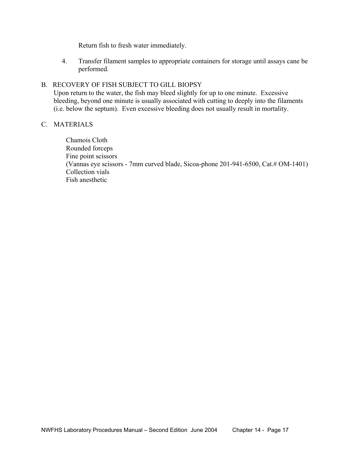Return fish to fresh water immediately.

4. Transfer filament samples to appropriate containers for storage until assays cane be performed.

#### B. RECOVERY OF FISH SUBJECT TO GILL BIOPSY

 Upon return to the water, the fish may bleed slightly for up to one minute. Excessive bleeding, beyond one minute is usually associated with cutting to deeply into the filaments (i.e. below the septum). Even excessive bleeding does not usually result in mortality.

#### C. MATERIALS

Chamois Cloth Rounded forceps Fine point scissors (Vannas eye scissors - 7mm curved blade, Sicoa-phone 201-941-6500, Cat.# OM-1401) Collection vials Fish anesthetic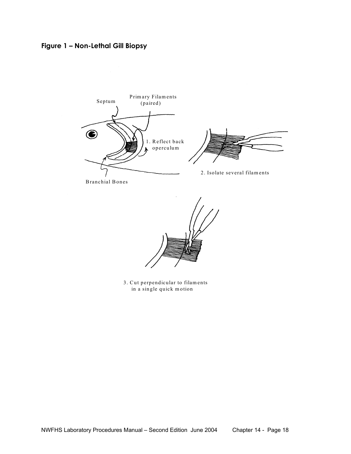**Figure 1 – Non-Lethal Gill Biopsy**



3. Cut perpendicular to filaments in a single quick motion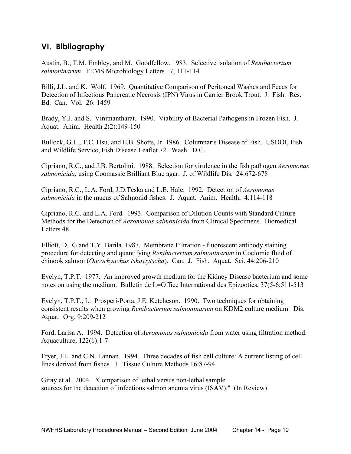# **VI. Bibliography**

Austin, B., T.M. Embley, and M. Goodfellow. 1983. Selective isolation of *Renibacterium salmoninarum*. FEMS Microbiology Letters 17, 111-114

Billi, J.L. and K. Wolf. 1969. Quantitative Comparison of Peritoneal Washes and Feces for Detection of Infectious Pancreatic Necrosis (IPN) Virus in Carrier Brook Trout. J. Fish. Res. Bd. Can. Vol. 26: 1459

Brady, Y.J. and S. Vinitnantharat. 1990. Viability of Bacterial Pathogens in Frozen Fish. J. Aquat. Anim. Health 2(2):149-150

Bullock, G.L., T.C. Hsu, and E.B. Shotts, Jr. 1986. Columnaris Disease of Fish. USDOI, Fish and Wildlife Service, Fish Disease Leaflet 72. Wash. D.C.

Cipriano, R.C., and J.B. Bertolini. 1988. Selection for virulence in the fish pathogen *Aeromonas salmonicida*, using Coomassie Brilliant Blue agar. J. of Wildlife Dis. 24:672-678

Cipriano, R.C., L.A. Ford, J.D.Teska and L.E. Hale. 1992. Detection of *Aeromonas salmonicida* in the mucus of Salmonid fishes. J. Aquat. Anim. Health, 4:114-118

Cipriano, R.C. and L.A. Ford. 1993. Comparison of Dilution Counts with Standard Culture Methods for the Detection of *Aeromonas salmonicida* from Clinical Specimens. Biomedical Letters 48

Elliott, D. G.and T.Y. Barila. 1987. Membrane Filtration - fluorescent antibody staining procedure for detecting and quantifying *Renibacterium salmoninarum* in Coelomic fluid of chinook salmon (*Oncorhynchus tshawytscha*). Can. J. Fish. Aquat. Sci. 44:206-210

Evelyn, T.P.T. 1977. An improved growth medium for the Kidney Disease bacterium and some notes on using the medium. Bulletin de L=Office International des Epizooties, 37(5-6:511-513

Evelyn, T.P.T., L. Prosperi-Porta, J.E. Ketcheson. 1990. Two techniques for obtaining consistent results when growing *Renibacterium salmoninarum* on KDM2 culture medium. Dis. Aquat. Org. 9:209-212

Ford, Larisa A. 1994. Detection of *Aeromonas salmonicida* from water using filtration method. Aquaculture, 122(1):1-7

Fryer, J.L. and C.N. Lannan. 1994. Three decades of fish cell culture: A current listing of cell lines derived from fishes. J. Tissue Culture Methods 16:87-94

Giray et al. 2004. "Comparison of lethal versus non-lethal sample sources for the detection of infectious salmon anemia virus (ISAV)." (In Review)